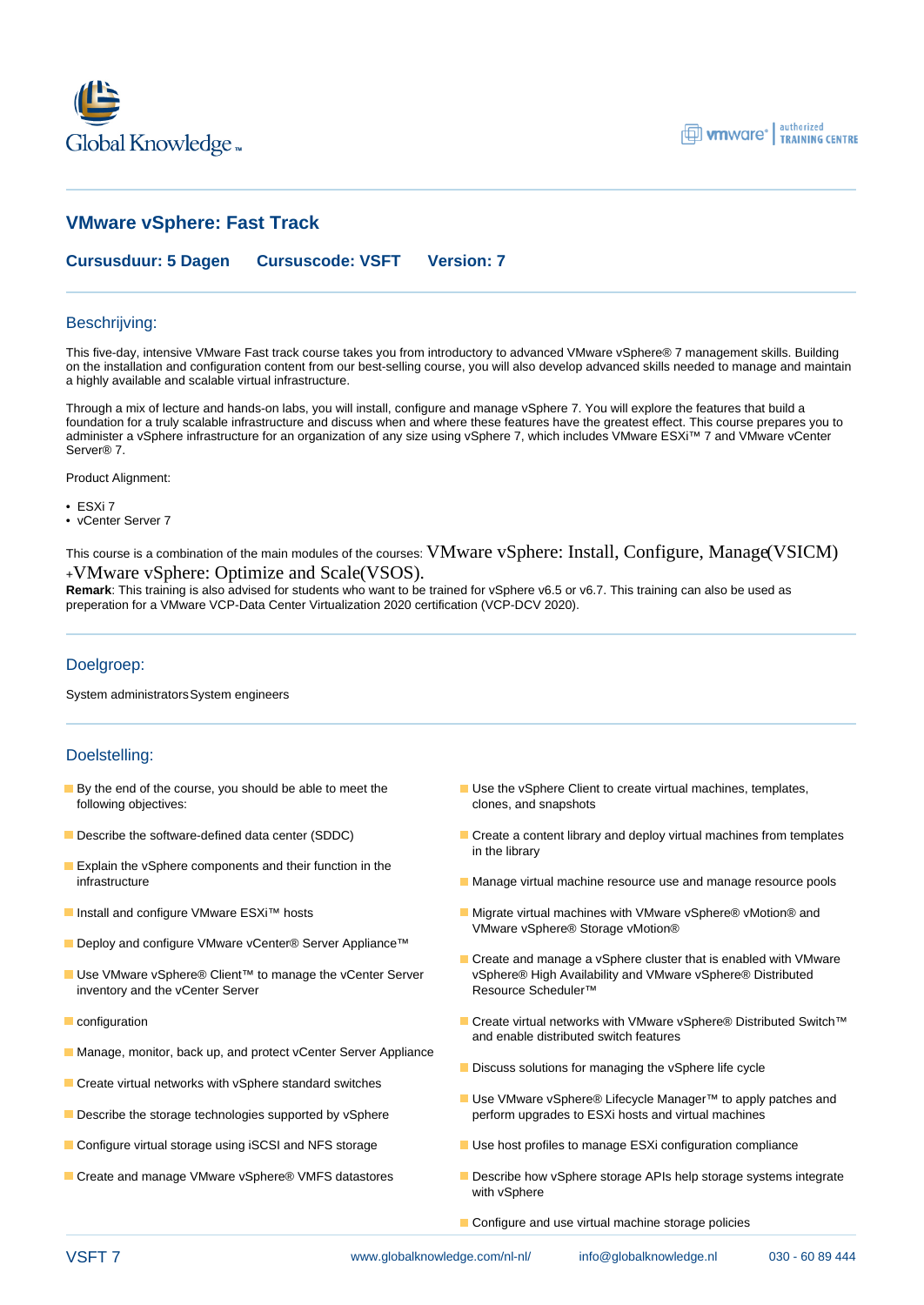



# **VMware vSphere: Fast Track**

**Cursusduur: 5 Dagen Cursuscode: VSFT Version: 7**

### Beschrijving:

This five-day, intensive VMware Fast track course takes you from introductory to advanced VMware vSphere® 7 management skills. Building on the installation and configuration content from our best-selling course, you will also develop advanced skills needed to manage and maintain a highly available and scalable virtual infrastructure.

Through a mix of lecture and hands-on labs, you will install, configure and manage vSphere 7. You will explore the features that build a foundation for a truly scalable infrastructure and discuss when and where these features have the greatest effect. This course prepares you to administer a vSphere infrastructure for an organization of any size using vSphere 7, which includes VMware ESXi™ 7 and VMware vCenter Server® 7.

Product Alignment:

- ESXi 7
- vCenter Server 7

This course is a combination of the main modules of the courses: VMware vSphere: Install, Configure, Manage(VSICM) <sup>+</sup>VMware vSphere: Optimize and Scale(VSOS).

**Remark**: This training is also advised for students who want to be trained for vSphere v6.5 or v6.7. This training can also be used as preperation for a VMware VCP-Data Center Virtualization 2020 certification (VCP-DCV 2020).

### Doelgroep:

System administratorsSystem engineers

### Doelstelling:

- following objectives: clones, and snapshots
- 
- **Explain the vSphere components and their function in the**
- 
- Deploy and configure VMware vCenter® Server Appliance™
- inventory and the vCenter Server Resource Scheduler™
- 
- Manage, monitor, back up, and protect vCenter Server Appliance
- Create virtual networks with vSphere standard switches
- 
- 
- 
- By the end of the course, you should be able to meet the Use the vSphere Client to create virtual machines, templates,
- Describe the software-defined data center (SDDC) Create a content library and deploy virtual machines from templates in the library
	- infrastructure **Manage virtual machine resource use and manage resource** pools
- **■** Install and configure VMware ESXi<sup>™</sup> hosts Migrate virtual machines with VMware vSphere® vMotion® and VMware vSphere® Storage vMotion®
- Create and manage a vSphere cluster that is enabled with VMware ■ Use VMware vSphere® Client™ to manage the vCenter Server vSphere® High Availability and VMware vSphere® Distributed
- configuration Create virtual networks with VMware vSphere® Distributed Switch™ and enable distributed switch features
	- Discuss solutions for managing the vSphere life cycle
- Use VMware vSphere® Lifecycle Manager™ to apply patches and **Describe the storage technologies supported by vSphere** perform upgrades to ESXi hosts and virtual machines
- Configure virtual storage using iSCSI and NFS storage USE Use host profiles to manage ESXi configuration compliance
- Create and manage VMware vSphere® VMFS datastores **Describe how vSphere storage APIs help storage systems integrate** with vSphere
	- Configure and use virtual machine storage policies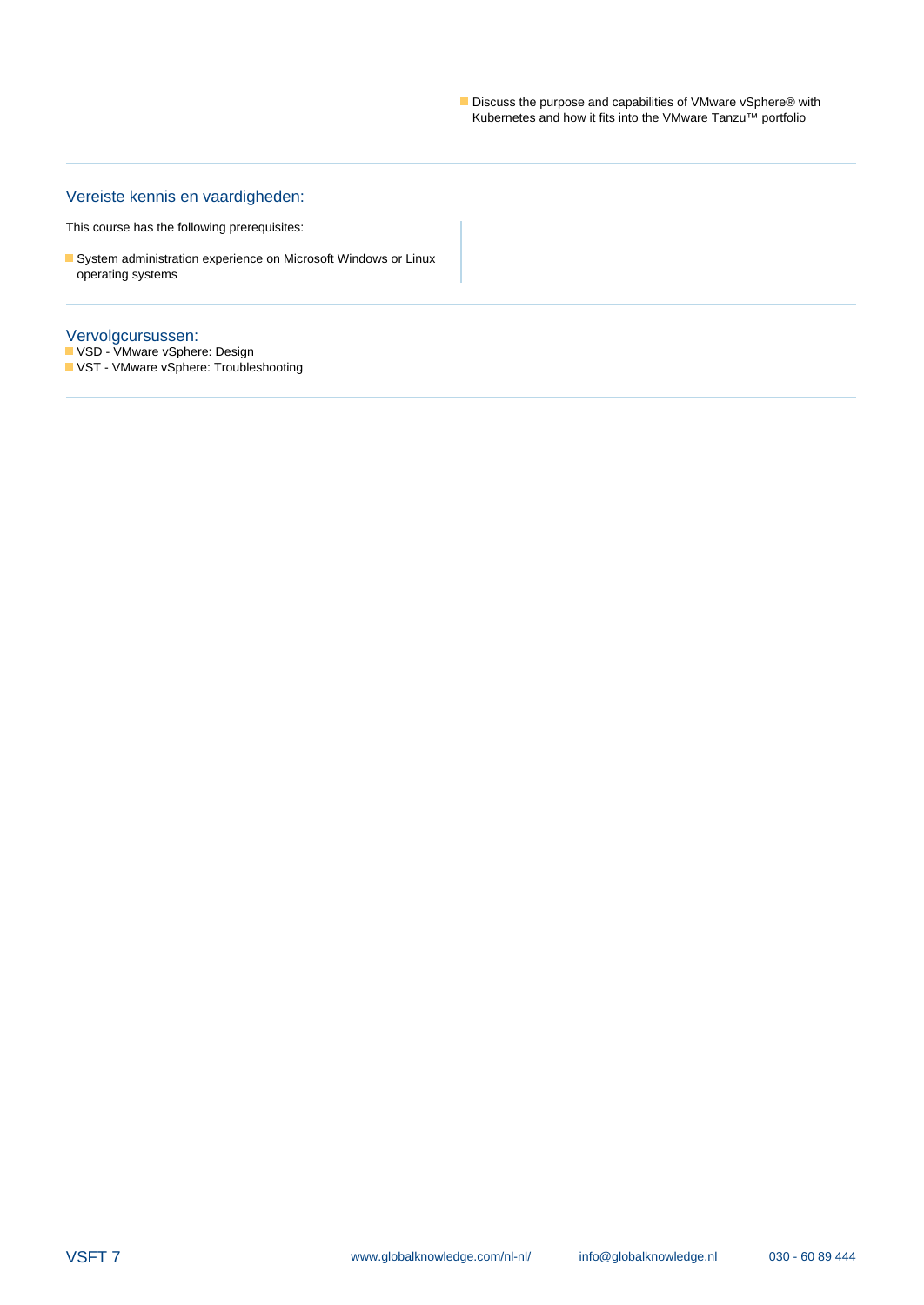Discuss the purpose and capabilities of VMware vSphere® with Kubernetes and how it fits into the VMware Tanzu™ portfolio

## Vereiste kennis en vaardigheden:

This course has the following prerequisites:

System administration experience on Microsoft Windows or Linux operating systems

#### Vervolgcursussen:

VSD - VMware vSphere: Design VST - VMware vSphere: Troubleshooting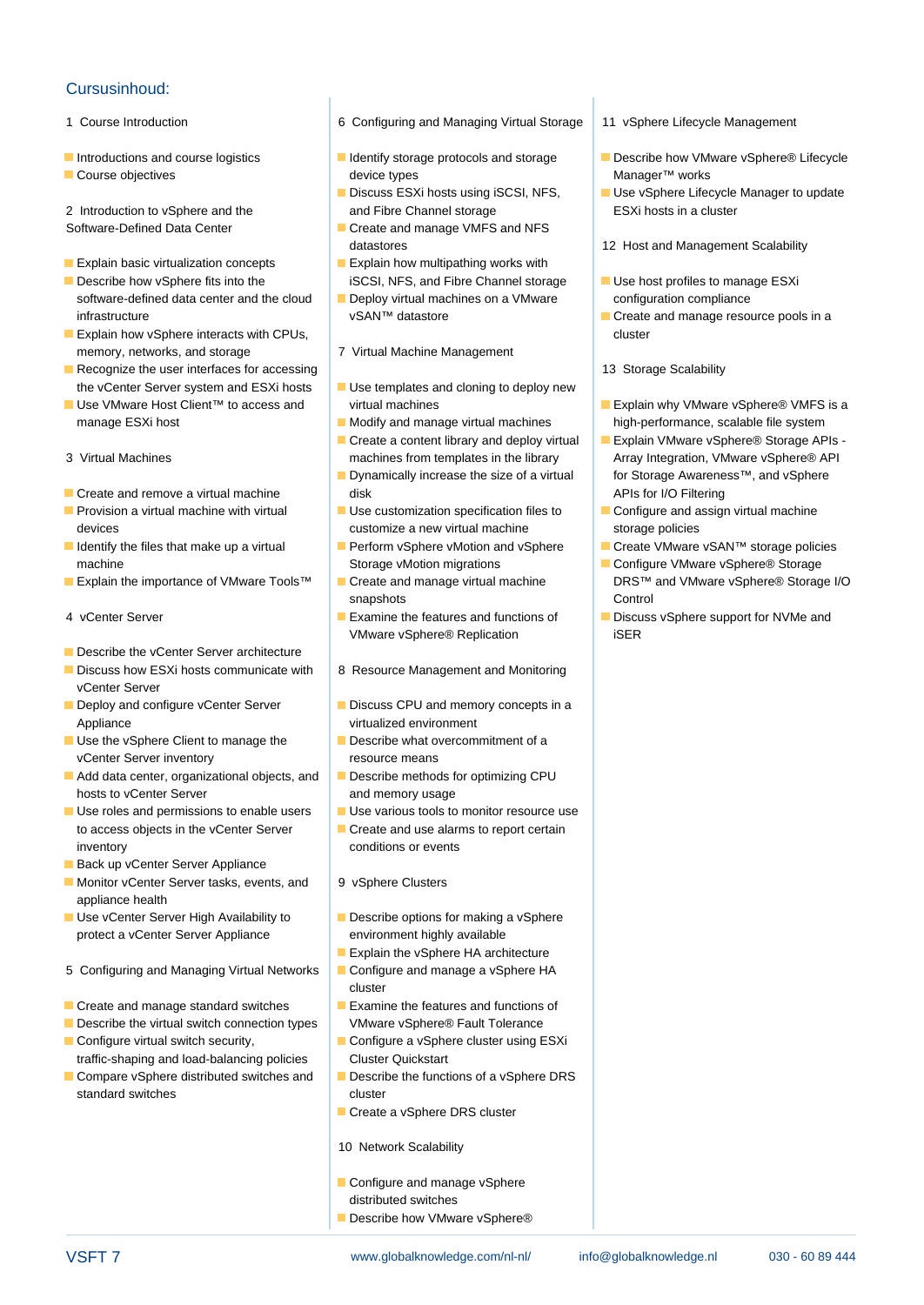## Cursusinhoud:

- 
- 
- 

- **Explain basic virtualization concepts** Explain how multipathing works with
- Describe how vSphere fits into the iSCSI, NFS, and Fibre Channel storage USE host profiles to manage ESXi software-defined data center and the cloud  $\Box$  Deploy virtual machines on a VMware configuration compliance infrastructure vSAN™ datastore in Create and manage resource pools in a
- **Explain how vSphere interacts with CPUs, the cluster of the cluster of the cluster cluster** cluster memory, networks, and storage 7 Virtual Machine Management
- **Recognize the user interfaces for accessing line 13 Storage Scalability** 13 Storage Scalability the vCenter Server system and ESXi hosts Use templates and cloning to deploy new
- manage ESXi host **Modify and manage virtual machines** high-performance, scalable file system
- 
- 
- 
- 
- 
- 
- Describe the vCenter Server architecture
- Discuss how ESXi hosts communicate with | 8 Resource Management and Monitoring vCenter Server
- Appliance virtualized environment
- vCenter Server inventory **resource means**
- $\blacksquare$  Add data center, organizational objects, and  $\blacksquare$  Describe methods for optimizing CPU hosts to vCenter Server **and memory usage**
- $\Box$  Use roles and permissions to enable users  $\Box$  Use various tools to monitor resource use to access objects in the vCenter Server  $\Box$  Create and use alarms to report certain inventory conditions or events
- Back up vCenter Server Appliance
- Monitor vCenter Server tasks, events, and 9 vSphere Clusters appliance health
- **Use vCenter Server High Availability to Describe options for making a vSphere** protect a vCenter Server Appliance environment highly available
- 5 Configuring and Managing Virtual Networks **Configure and manage a vSphere HA**
- $\blacksquare$  Create and manage standard switches  $\blacksquare$  Examine the features and functions of
- Describe the virtual switch connection types VMware vSphere® Fault Tolerance
- Configure virtual switch security, **Configure a vSphere cluster using ESXi**
- traffic-shaping and load-balancing policies Cluster Quickstart<br>
Compare vSphere distributed switches and Describe the funct standard switches cluster
- 1 Course Introduction 6 Configuring and Managing Virtual Storage 11 vSphere Lifecycle Management
- Course objectives and the course objectives and the course of the device types and the course of Manager™ works

line line line

- 2 Introduction to vSphere and the and Fibre Channel storage ESXi hosts in a cluster
- Software-Defined Data Center Create and manage VMFS and NFS
	-
	-
	-
	-
	-
	-
- Create and remove a virtual machine disk APIs for I/O Filtering and Text APIs for I/O Filtering
- **Provision a virtual machine with virtual Configure** Use customization specification files to Configure and assign virtual machine devices examples a new virtual machine storage policies a new virtual machine storage policies
	- machine Storage vMotion migrations Configure VMware vSphere® Storage vMotion migrations
		- snapshots **Control**
		- VMware vSphere® Replication iSER
		-
- Deploy and configure vCenter Server **Discuss CPU** and memory concepts in a
- Use the vSphere Client to manage the Describe what overcommitment of a
	-
	-
	-
	-
	-
	- Explain the vSphere HA architecture
- line cluster and cluster and cluster
	-
	-
	- $\blacksquare$  Describe the functions of a vSphere DRS
	- Create a vSphere DRS cluster
	- 10 Network Scalability
	- Configure and manage vSphere distributed switches
	- Describe how VMware vSphere®
- 
- Introductions and course logistics **IDE** Identify storage protocols and storage Describe how VMware vSphere® Lifecycle
	- Discuss ESXi hosts using iSCSI, NFS, Use vSphere Lifecycle Manager to update
	- datastores 12 Host and Management Scalability
		-
		-
		-
- Use VMware Host Client™ to access and virtual machines Explain why VMware vSphere® VMFS is a
- Create a content library and deploy virtual Explain VMware vSphere® Storage APIs -3 Virtual Machines machines machines from templates in the library Array Integration, VMware vSphere® API **■** Dynamically increase the size of a virtual for Storage Awareness™, and vSphere
	-
- Identify the files that make up a virtual Perform vSphere vMotion and vSphere Create VMware vSAN™ storage policies
- **Explain the importance of VMware Tools™** Foreate and manage virtual machine DRS™ and VMware vSphere® Storage I/O
- 4 vCenter Server **Examine the features and functions of Examine the features and functions of Examine Server Server Server Server Server Server Server Server Server Server Server Server Server Server Server Server Server S**